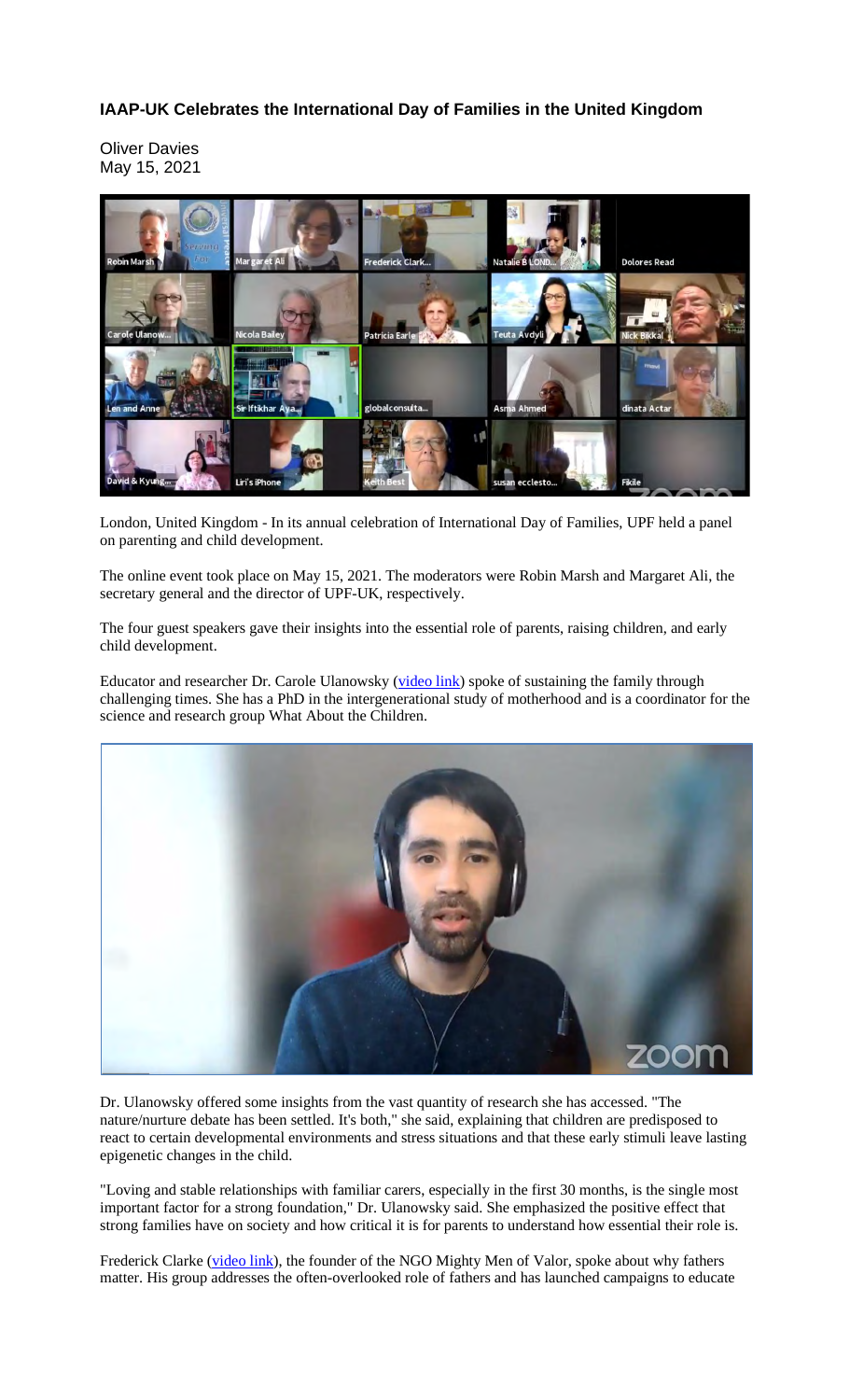## **IAAP-UK Celebrates the International Day of Families in the United Kingdom**

Oliver Davies May 15, 2021



London, United Kingdom - In its annual celebration of International Day of Families, UPF held a panel on parenting and child development.

The online event took place on May 15, 2021. The moderators were Robin Marsh and Margaret Ali, the secretary general and the director of UPF-UK, respectively.

The four guest speakers gave their insights into the essential role of parents, raising children, and early child development.

Educator and researcher Dr. Carole Ulanowsky (video link) spoke of sustaining the family through challenging times. She has a PhD in the intergenerational study of motherhood and is a coordinator for the science and research group What About the Children.



Dr. Ulanowsky offered some insights from the vast quantity of research she has accessed. "The nature/nurture debate has been settled. It's both," she said, explaining that children are predisposed to react to certain developmental environments and stress situations and that these early stimuli leave lasting epigenetic changes in the child.

"Loving and stable relationships with familiar carers, especially in the first 30 months, is the single most important factor for a strong foundation," Dr. Ulanowsky said. She emphasized the positive effect that strong families have on society and how critical it is for parents to understand how essential their role is.

Frederick Clarke (video link), the founder of the NGO Mighty Men of Valor, spoke about why fathers matter. His group addresses the often-overlooked role of fathers and has launched campaigns to educate